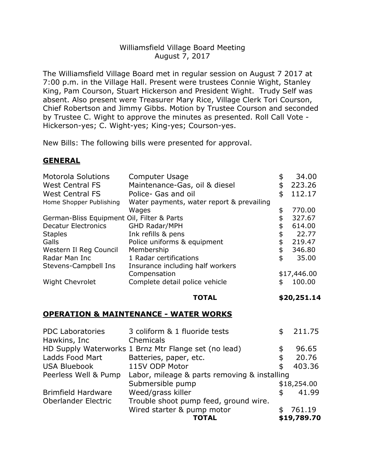# Williamsfield Village Board Meeting August 7, 2017

The Williamsfield Village Board met in regular session on August 7 2017 at 7:00 p.m. in the Village Hall. Present were trustees Connie Wight, Stanley King, Pam Courson, Stuart Hickerson and President Wight. Trudy Self was absent. Also present were Treasurer Mary Rice, Village Clerk Tori Courson, Chief Robertson and Jimmy Gibbs. Motion by Trustee Courson and seconded by Trustee C. Wight to approve the minutes as presented. Roll Call Vote - Hickerson-yes; C. Wight-yes; King-yes; Courson-yes.

New Bills: The following bills were presented for approval.

### **GENERAL**

| <b>Motorola Solutions</b>                  | <b>Computer Usage</b>                     | \$ | 34.00       |
|--------------------------------------------|-------------------------------------------|----|-------------|
| <b>West Central FS</b>                     | Maintenance-Gas, oil & diesel             | \$ | 223.26      |
| <b>West Central FS</b>                     | Police- Gas and oil                       | \$ | 112.17      |
| Home Shopper Publishing                    | Water payments, water report & prevailing |    |             |
|                                            | Wages                                     | \$ | 770.00      |
| German-Bliss Equipment Oil, Filter & Parts |                                           |    | 327.67      |
| <b>Decatur Electronics</b>                 | <b>GHD Radar/MPH</b>                      | \$ | 614.00      |
| <b>Staples</b>                             | Ink refills & pens                        | \$ | 22.77       |
| Galls                                      | Police uniforms & equipment               | \$ | 219.47      |
| Western II Reg Council                     | Membership                                | \$ | 346.80      |
| Radar Man Inc                              | 1 Radar certifications                    | \$ | 35.00       |
| Stevens-Campbell Ins                       | Insurance including half workers          |    |             |
|                                            | Compensation                              |    | \$17,446.00 |
| <b>Wight Chevrolet</b>                     | Complete detail police vehicle            | \$ | 100.00      |
|                                            |                                           |    |             |

# **TOTAL \$20,251.14**

### **OPERATION & MAINTENANCE - WATER WORKS**

|                           | TOTAL                                                | \$19,789.70  |
|---------------------------|------------------------------------------------------|--------------|
|                           | Wired starter & pump motor                           | 761.19       |
| Oberlander Electric       | Trouble shoot pump feed, ground wire.                |              |
| <b>Brimfield Hardware</b> | Weed/grass killer                                    | 41.99        |
|                           | Submersible pump                                     | \$18,254.00  |
| Peerless Well & Pump      | Labor, mileage & parts removing & installing         |              |
| <b>USA Bluebook</b>       | 115V ODP Motor                                       | \$<br>403.36 |
| Ladds Food Mart           | Batteries, paper, etc.                               | \$<br>20.76  |
|                           | HD Supply Waterworks 1 Brnz Mtr Flange set (no lead) | \$<br>96.65  |
| Hawkins, Inc              | Chemicals                                            |              |
| <b>PDC Laboratories</b>   | 3 coliform & 1 fluoride tests                        | 211.75       |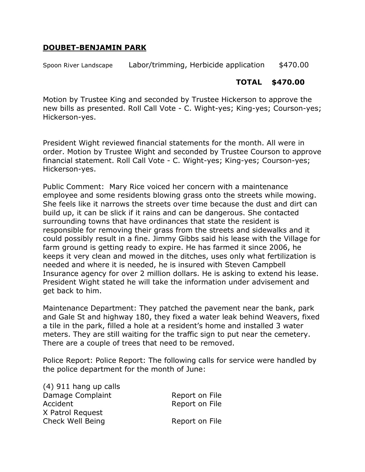#### **DOUBET-BENJAMIN PARK**

Spoon River Landscape Labor/trimming, Herbicide application \$470.00

# **TOTAL \$470.00**

Motion by Trustee King and seconded by Trustee Hickerson to approve the new bills as presented. Roll Call Vote - C. Wight-yes; King-yes; Courson-yes; Hickerson-yes.

President Wight reviewed financial statements for the month. All were in order. Motion by Trustee Wight and seconded by Trustee Courson to approve financial statement. Roll Call Vote - C. Wight-yes; King-yes; Courson-yes; Hickerson-yes.

Public Comment: Mary Rice voiced her concern with a maintenance employee and some residents blowing grass onto the streets while mowing. She feels like it narrows the streets over time because the dust and dirt can build up, it can be slick if it rains and can be dangerous. She contacted surrounding towns that have ordinances that state the resident is responsible for removing their grass from the streets and sidewalks and it could possibly result in a fine. Jimmy Gibbs said his lease with the Village for farm ground is getting ready to expire. He has farmed it since 2006, he keeps it very clean and mowed in the ditches, uses only what fertilization is needed and where it is needed, he is insured with Steven Campbell Insurance agency for over 2 million dollars. He is asking to extend his lease. President Wight stated he will take the information under advisement and get back to him.

Maintenance Department: They patched the pavement near the bank, park and Gale St and highway 180, they fixed a water leak behind Weavers, fixed a tile in the park, filled a hole at a resident's home and installed 3 water meters. They are still waiting for the traffic sign to put near the cemetery. There are a couple of trees that need to be removed.

Police Report: Police Report: The following calls for service were handled by the police department for the month of June:

| Report on File |
|----------------|
| Report on File |
|                |
| Report on File |
|                |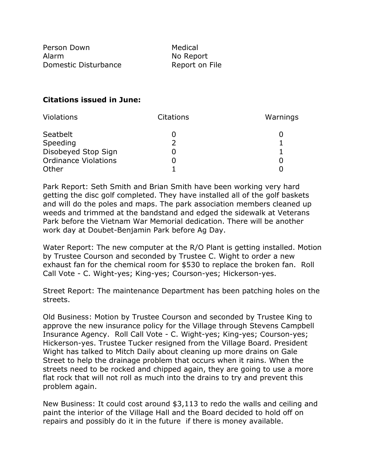Person Down Medical Alarm No Report Domestic Disturbance Report on File

### **Citations issued in June:**

| Violations                  | <b>Citations</b> | Warnings |
|-----------------------------|------------------|----------|
| Seatbelt                    |                  |          |
| Speeding                    |                  |          |
| Disobeyed Stop Sign         |                  |          |
| <b>Ordinance Violations</b> |                  |          |
| Other                       |                  |          |

Park Report: Seth Smith and Brian Smith have been working very hard getting the disc golf completed. They have installed all of the golf baskets and will do the poles and maps. The park association members cleaned up weeds and trimmed at the bandstand and edged the sidewalk at Veterans Park before the Vietnam War Memorial dedication. There will be another work day at Doubet-Benjamin Park before Ag Day.

Water Report: The new computer at the R/O Plant is getting installed. Motion by Trustee Courson and seconded by Trustee C. Wight to order a new exhaust fan for the chemical room for \$530 to replace the broken fan. Roll Call Vote - C. Wight-yes; King-yes; Courson-yes; Hickerson-yes.

Street Report: The maintenance Department has been patching holes on the streets.

Old Business: Motion by Trustee Courson and seconded by Trustee King to approve the new insurance policy for the Village through Stevens Campbell Insurance Agency. Roll Call Vote - C. Wight-yes; King-yes; Courson-yes; Hickerson-yes. Trustee Tucker resigned from the Village Board. President Wight has talked to Mitch Daily about cleaning up more drains on Gale Street to help the drainage problem that occurs when it rains. When the streets need to be rocked and chipped again, they are going to use a more flat rock that will not roll as much into the drains to try and prevent this problem again.

New Business: It could cost around \$3,113 to redo the walls and ceiling and paint the interior of the Village Hall and the Board decided to hold off on repairs and possibly do it in the future if there is money available.